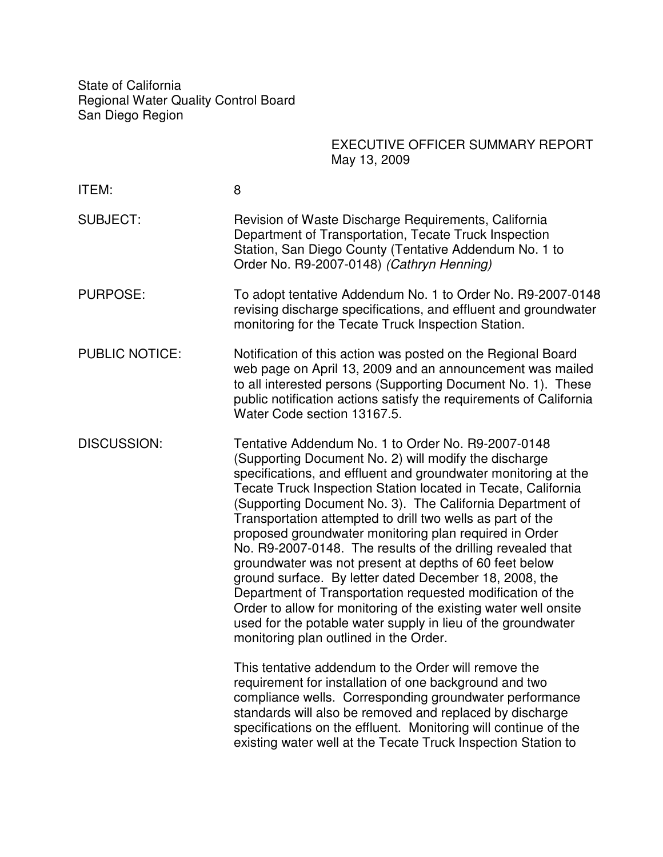State of California Regional Water Quality Control Board San Diego Region

> EXECUTIVE OFFICER SUMMARY REPORT May 13, 2009

| ITEM:                 | 8                                                                                                                                                                                                                                                                                                                                                                                                                                                                                                                                                                                                                                                                                                                                                                                                                                                                 |  |
|-----------------------|-------------------------------------------------------------------------------------------------------------------------------------------------------------------------------------------------------------------------------------------------------------------------------------------------------------------------------------------------------------------------------------------------------------------------------------------------------------------------------------------------------------------------------------------------------------------------------------------------------------------------------------------------------------------------------------------------------------------------------------------------------------------------------------------------------------------------------------------------------------------|--|
| <b>SUBJECT:</b>       | Revision of Waste Discharge Requirements, California<br>Department of Transportation, Tecate Truck Inspection<br>Station, San Diego County (Tentative Addendum No. 1 to<br>Order No. R9-2007-0148) (Cathryn Henning)                                                                                                                                                                                                                                                                                                                                                                                                                                                                                                                                                                                                                                              |  |
| <b>PURPOSE:</b>       | To adopt tentative Addendum No. 1 to Order No. R9-2007-0148<br>revising discharge specifications, and effluent and groundwater<br>monitoring for the Tecate Truck Inspection Station.                                                                                                                                                                                                                                                                                                                                                                                                                                                                                                                                                                                                                                                                             |  |
| <b>PUBLIC NOTICE:</b> | Notification of this action was posted on the Regional Board<br>web page on April 13, 2009 and an announcement was mailed<br>to all interested persons (Supporting Document No. 1). These<br>public notification actions satisfy the requirements of California<br>Water Code section 13167.5.                                                                                                                                                                                                                                                                                                                                                                                                                                                                                                                                                                    |  |
| <b>DISCUSSION:</b>    | Tentative Addendum No. 1 to Order No. R9-2007-0148<br>(Supporting Document No. 2) will modify the discharge<br>specifications, and effluent and groundwater monitoring at the<br>Tecate Truck Inspection Station located in Tecate, California<br>(Supporting Document No. 3). The California Department of<br>Transportation attempted to drill two wells as part of the<br>proposed groundwater monitoring plan required in Order<br>No. R9-2007-0148. The results of the drilling revealed that<br>groundwater was not present at depths of 60 feet below<br>ground surface. By letter dated December 18, 2008, the<br>Department of Transportation requested modification of the<br>Order to allow for monitoring of the existing water well onsite<br>used for the potable water supply in lieu of the groundwater<br>monitoring plan outlined in the Order. |  |
|                       | This tentative addendum to the Order will remove the<br>requirement for installation of one background and two<br>compliance wells. Corresponding groundwater performance<br>standards will also be removed and replaced by discharge<br>specifications on the effluent. Monitoring will continue of the<br>existing water well at the Tecate Truck Inspection Station to                                                                                                                                                                                                                                                                                                                                                                                                                                                                                         |  |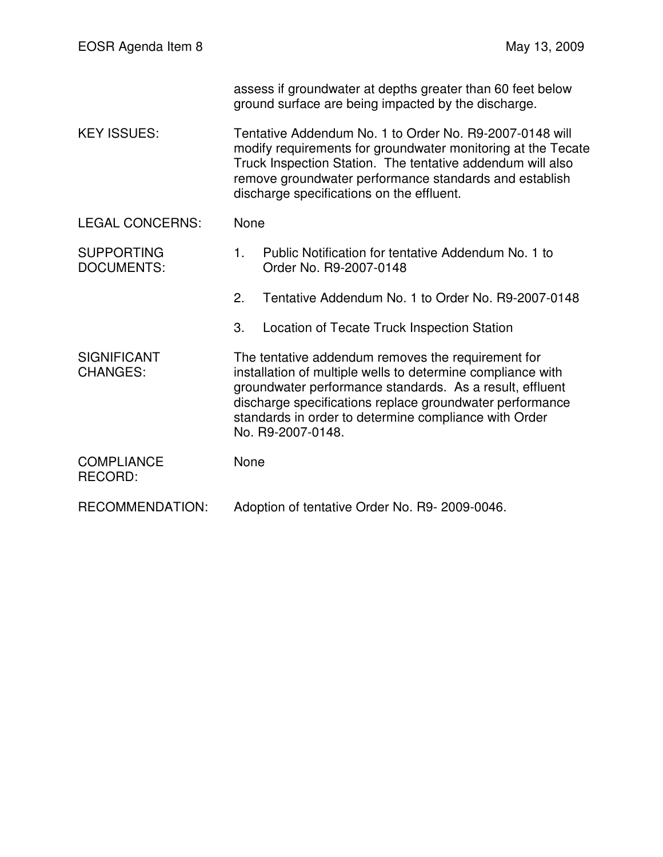|                                        | assess if groundwater at depths greater than 60 feet below<br>ground surface are being impacted by the discharge.                                                                                                                                                                                                       |                                                                               |  |
|----------------------------------------|-------------------------------------------------------------------------------------------------------------------------------------------------------------------------------------------------------------------------------------------------------------------------------------------------------------------------|-------------------------------------------------------------------------------|--|
| <b>KEY ISSUES:</b>                     | Tentative Addendum No. 1 to Order No. R9-2007-0148 will<br>modify requirements for groundwater monitoring at the Tecate<br>Truck Inspection Station. The tentative addendum will also<br>remove groundwater performance standards and establish<br>discharge specifications on the effluent.                            |                                                                               |  |
| <b>LEGAL CONCERNS:</b>                 | None                                                                                                                                                                                                                                                                                                                    |                                                                               |  |
| <b>SUPPORTING</b><br><b>DOCUMENTS:</b> | 1.                                                                                                                                                                                                                                                                                                                      | Public Notification for tentative Addendum No. 1 to<br>Order No. R9-2007-0148 |  |
|                                        | 2.                                                                                                                                                                                                                                                                                                                      | Tentative Addendum No. 1 to Order No. R9-2007-0148                            |  |
|                                        | 3.                                                                                                                                                                                                                                                                                                                      | Location of Tecate Truck Inspection Station                                   |  |
| <b>SIGNIFICANT</b><br><b>CHANGES:</b>  | The tentative addendum removes the requirement for<br>installation of multiple wells to determine compliance with<br>groundwater performance standards. As a result, effluent<br>discharge specifications replace groundwater performance<br>standards in order to determine compliance with Order<br>No. R9-2007-0148. |                                                                               |  |
| <b>COMPLIANCE</b><br><b>RECORD:</b>    | None                                                                                                                                                                                                                                                                                                                    |                                                                               |  |
| <b>RECOMMENDATION:</b>                 | Adoption of tentative Order No. R9-2009-0046.                                                                                                                                                                                                                                                                           |                                                                               |  |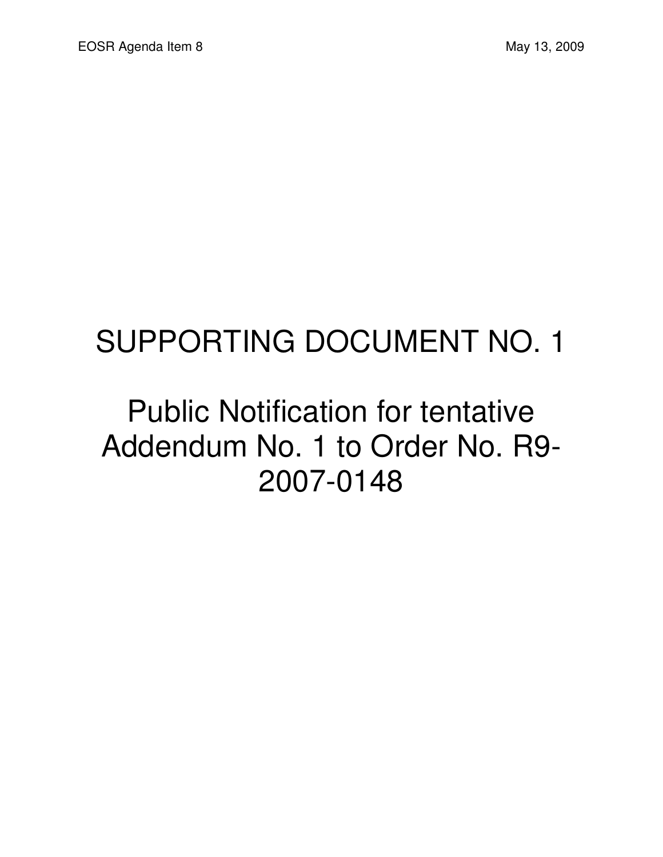## SUPPORTING DOCUMENT NO. 1

#### Public Notification for tentative Addendum No. 1 to Order No. R9- 2007-0148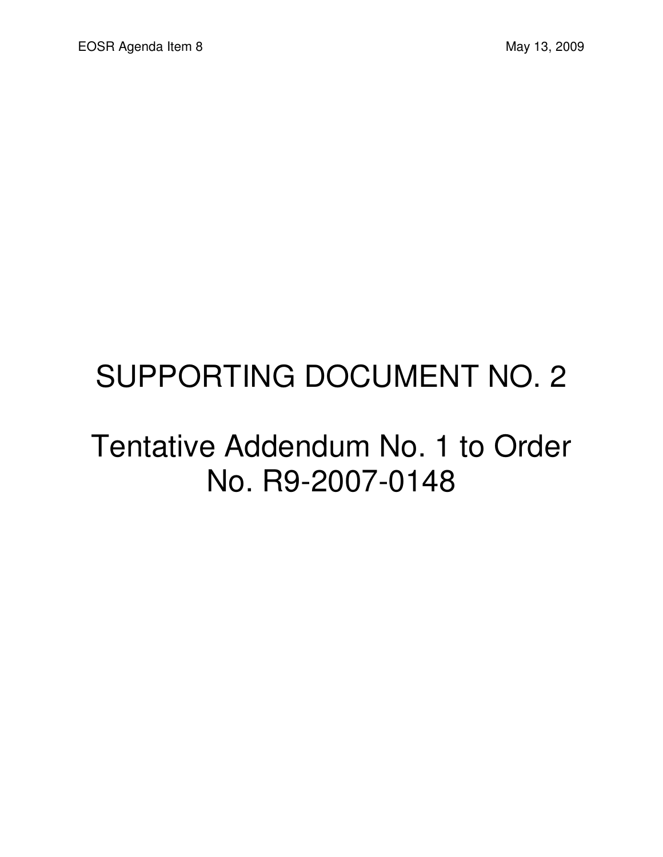## SUPPORTING DOCUMENT NO. 2

#### Tentative Addendum No. 1 to Order No. R9-2007-0148